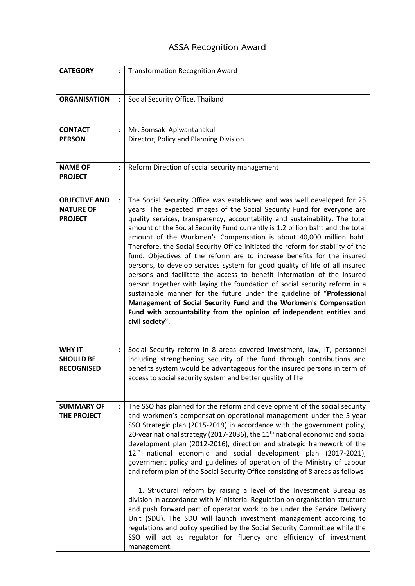## **ASSA Recognition Award**

| <b>CATEGORY</b>                                            |                | <b>Transformation Recognition Award</b>                                                                                                                                                                                                                                                                                                                                                                                                                                                                                                                                                                                                                                                                                                                                                                                                                                                                                                                                                                                                                                                                          |
|------------------------------------------------------------|----------------|------------------------------------------------------------------------------------------------------------------------------------------------------------------------------------------------------------------------------------------------------------------------------------------------------------------------------------------------------------------------------------------------------------------------------------------------------------------------------------------------------------------------------------------------------------------------------------------------------------------------------------------------------------------------------------------------------------------------------------------------------------------------------------------------------------------------------------------------------------------------------------------------------------------------------------------------------------------------------------------------------------------------------------------------------------------------------------------------------------------|
| <b>ORGANISATION</b>                                        | $\ddot{\cdot}$ | Social Security Office, Thailand                                                                                                                                                                                                                                                                                                                                                                                                                                                                                                                                                                                                                                                                                                                                                                                                                                                                                                                                                                                                                                                                                 |
| <b>CONTACT</b><br><b>PERSON</b>                            | $\ddot{\cdot}$ | Mr. Somsak Apiwantanakul<br>Director, Policy and Planning Division                                                                                                                                                                                                                                                                                                                                                                                                                                                                                                                                                                                                                                                                                                                                                                                                                                                                                                                                                                                                                                               |
| <b>NAME OF</b><br><b>PROJECT</b>                           | :              | Reform Direction of social security management                                                                                                                                                                                                                                                                                                                                                                                                                                                                                                                                                                                                                                                                                                                                                                                                                                                                                                                                                                                                                                                                   |
| <b>OBJECTIVE AND</b><br><b>NATURE OF</b><br><b>PROJECT</b> | $\ddot{\cdot}$ | The Social Security Office was established and was well developed for 25<br>years. The expected images of the Social Security Fund for everyone are<br>quality services, transparency, accountability and sustainability. The total<br>amount of the Social Security Fund currently is 1.2 billion baht and the total<br>amount of the Workmen's Compensation is about 40,000 million baht.<br>Therefore, the Social Security Office initiated the reform for stability of the<br>fund. Objectives of the reform are to increase benefits for the insured<br>persons, to develop services system for good quality of life of all insured<br>persons and facilitate the access to benefit information of the insured<br>person together with laying the foundation of social security reform in a<br>sustainable manner for the future under the guideline of "Professional<br>Management of Social Security Fund and the Workmen's Compensation<br>Fund with accountability from the opinion of independent entities and<br>civil society".                                                                      |
| <b>WHY IT</b><br><b>SHOULD BE</b><br><b>RECOGNISED</b>     | $\ddot{\cdot}$ | Social Security reform in 8 areas covered investment, law, IT, personnel<br>including strengthening security of the fund through contributions and<br>benefits system would be advantageous for the insured persons in term of<br>access to social security system and better quality of life.                                                                                                                                                                                                                                                                                                                                                                                                                                                                                                                                                                                                                                                                                                                                                                                                                   |
| <b>SUMMARY OF</b><br>THE PROJECT                           | $\ddot{\cdot}$ | The SSO has planned for the reform and development of the social security<br>and workmen's compensation operational management under the 5-year<br>SSO Strategic plan (2015-2019) in accordance with the government policy,<br>20-year national strategy (2017-2036), the 11 <sup>th</sup> national economic and social<br>development plan (2012-2016), direction and strategic framework of the<br>$12th$ national economic and social development plan (2017-2021),<br>government policy and guidelines of operation of the Ministry of Labour<br>and reform plan of the Social Security Office consisting of 8 areas as follows:<br>1. Structural reform by raising a level of the Investment Bureau as<br>division in accordance with Ministerial Regulation on organisation structure<br>and push forward part of operator work to be under the Service Delivery<br>Unit (SDU). The SDU will launch investment management according to<br>regulations and policy specified by the Social Security Committee while the<br>SSO will act as regulator for fluency and efficiency of investment<br>management. |